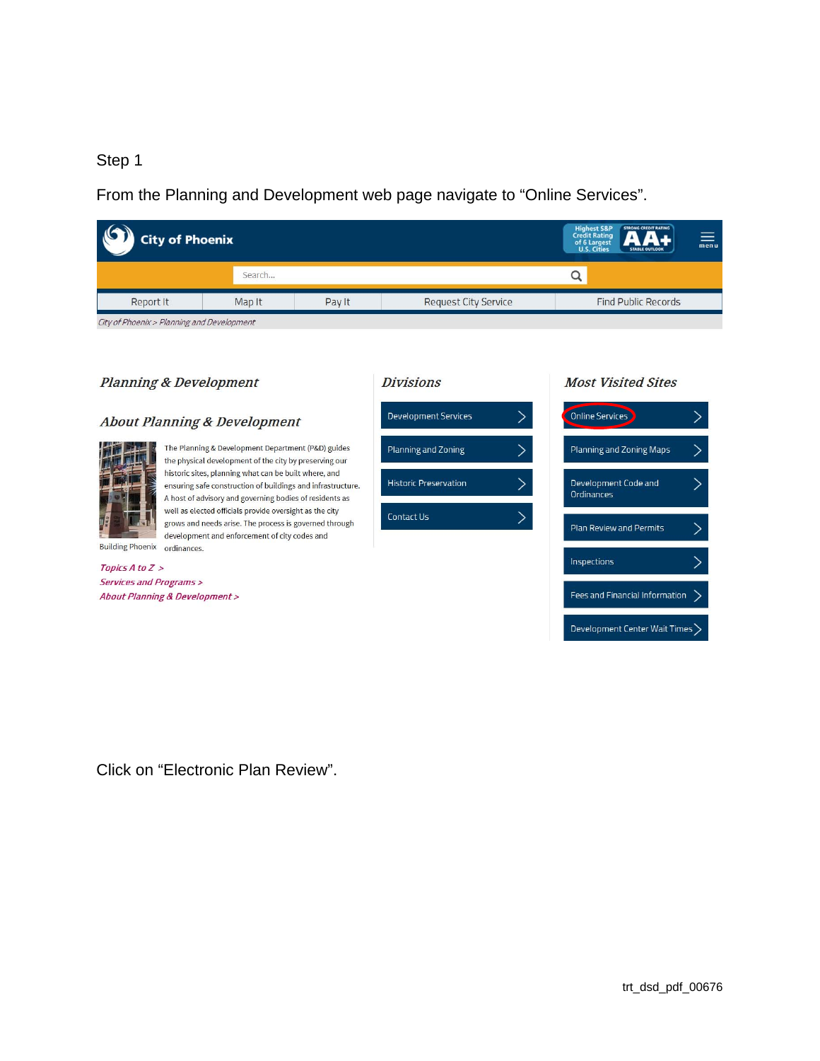## Step 1

From the Planning and Development web page navigate to "Online Services".

| <b>City of Phoenix</b>                     |        |        |                             | <b>STRONG CREDIT RATING</b><br>Highest S&P<br>Credit Rating<br>of 6 Largest<br>U.S. Cities<br><b>STABLE OUTLOOK</b> | $\equiv$ |
|--------------------------------------------|--------|--------|-----------------------------|---------------------------------------------------------------------------------------------------------------------|----------|
|                                            | Search |        |                             |                                                                                                                     |          |
| Report It                                  | Map It | Pay It | <b>Request City Service</b> | <b>Find Public Records</b>                                                                                          |          |
| City of Phoenix > Planning and Development |        |        |                             |                                                                                                                     |          |

## **Planning & Development**

## **About Planning & Development**



The Planning & Development Department (P&D) guides the physical development of the city by preserving our historic sites, planning what can be built where, and ensuring safe construction of buildings and infrastructure. A host of advisory and governing bodies of residents as well as elected officials provide oversight as the city grows and needs arise. The process is governed through development and enforcement of city codes and



Development Services

Planning and Zoning

**Historic Preservation** 

Contact Us

### **Most Visited Sites**

 $\left\langle \right\rangle$ 

 $\overline{\phantom{1}}$ 

 $\mathbf{\rangle}$ 

 $\mathcal{E}$ 



Building Phoenix ordinances. Topics A to Z >

Services and Programs > About Planning & Development >

Click on "Electronic Plan Review".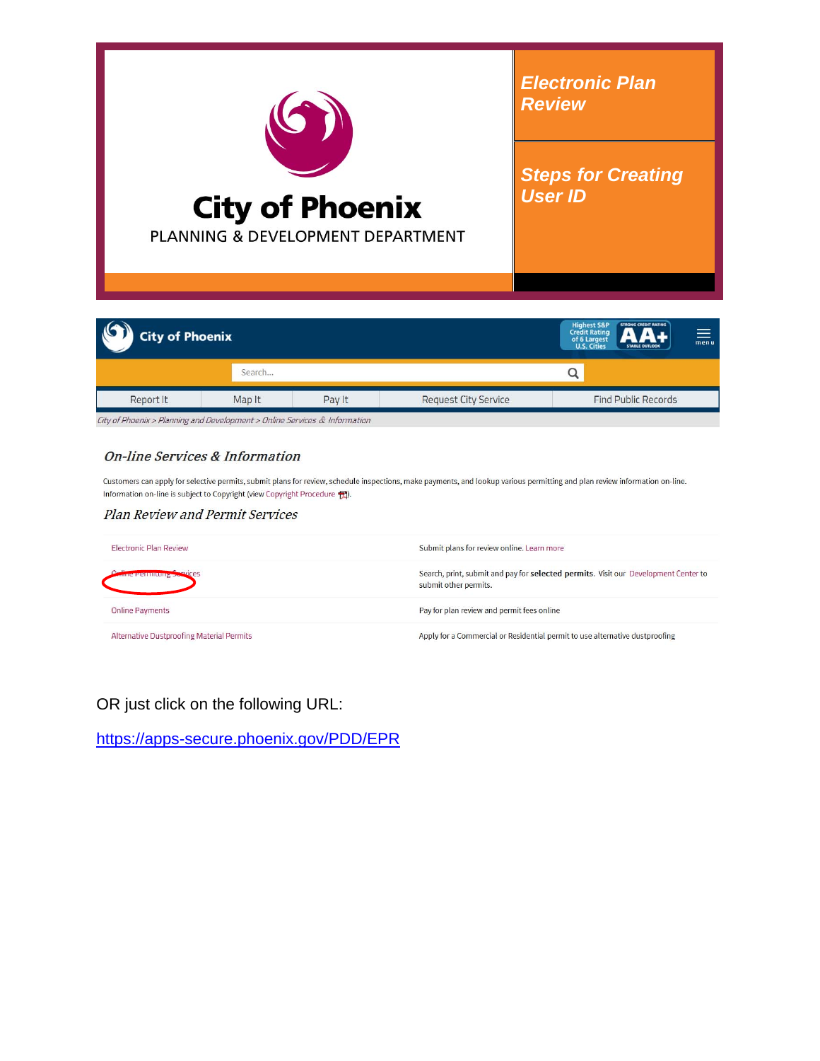

| <b>City of Phoenix</b> |        |        |                             | <b>Highest S&amp;P</b><br><b>Credit Rating</b><br>of 6 Largest<br>U.S. Cities | <b>STRONG CREDIT RATING</b><br>un.<br><b>STABLE OUTLOOK</b> | $\equiv$ |
|------------------------|--------|--------|-----------------------------|-------------------------------------------------------------------------------|-------------------------------------------------------------|----------|
|                        | Search |        |                             |                                                                               |                                                             |          |
| Report It              | Map It | Pay It | <b>Request City Service</b> |                                                                               | <b>Find Public Records</b>                                  |          |

City of Phoenix > Planning and Development > Online Services & Information

#### **On-line Services & Information**

Customers can apply for selective permits, submit plans for review, schedule inspections, make payments, and lookup various permitting and plan review information on-line. Information on-line is subject to Copyright (view Copyright Procedure 7).

#### Plan Review and Permit Services

| <b>Electronic Plan Review</b>             | Submit plans for review online. Learn more                                                                   |
|-------------------------------------------|--------------------------------------------------------------------------------------------------------------|
| $c$ entimeting $5$                        | Search, print, submit and pay for selected permits. Visit our Development Center to<br>submit other permits. |
| <b>Online Payments</b>                    | Pay for plan review and permit fees online                                                                   |
| Alternative Dustproofing Material Permits | Apply for a Commercial or Residential permit to use alternative dustproofing                                 |

OR just click on the following URL:

https://apps-secure.phoenix.gov/PDD/EPR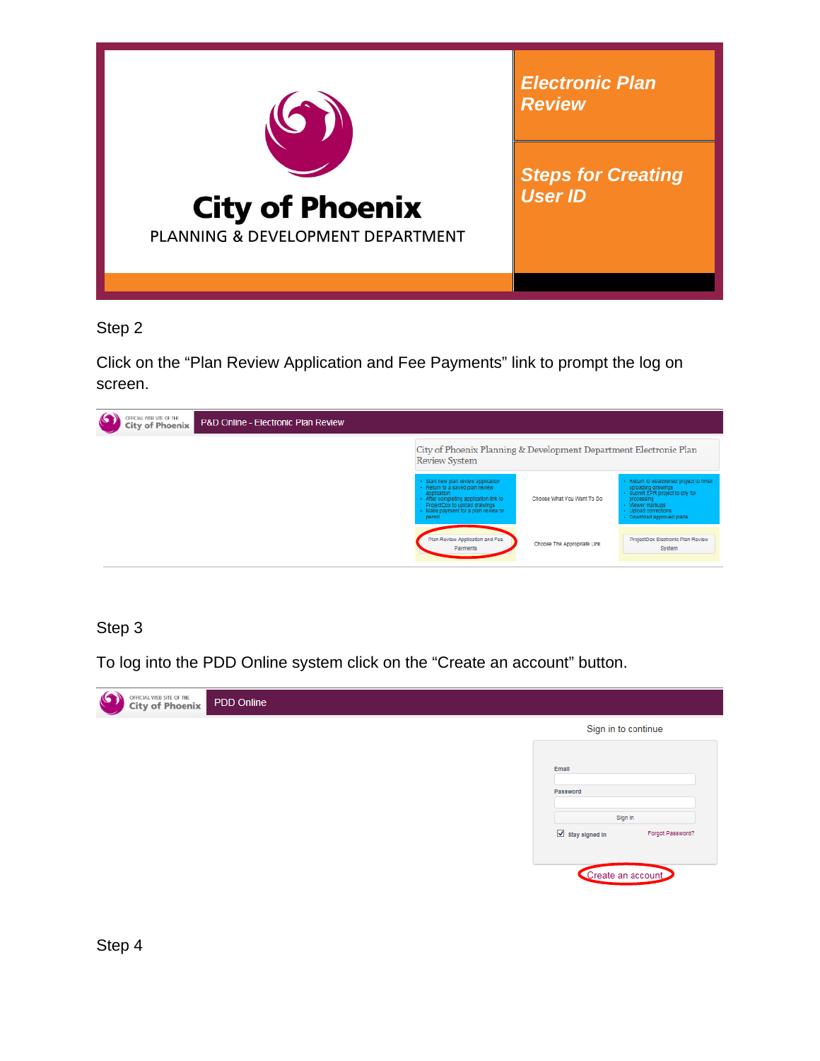

Step 2

Click on the "Plan Review Application and Fee Payments" link to prompt the log on screen.



## Step 3

To log into the PDD Online system click on the "Create an account" button.

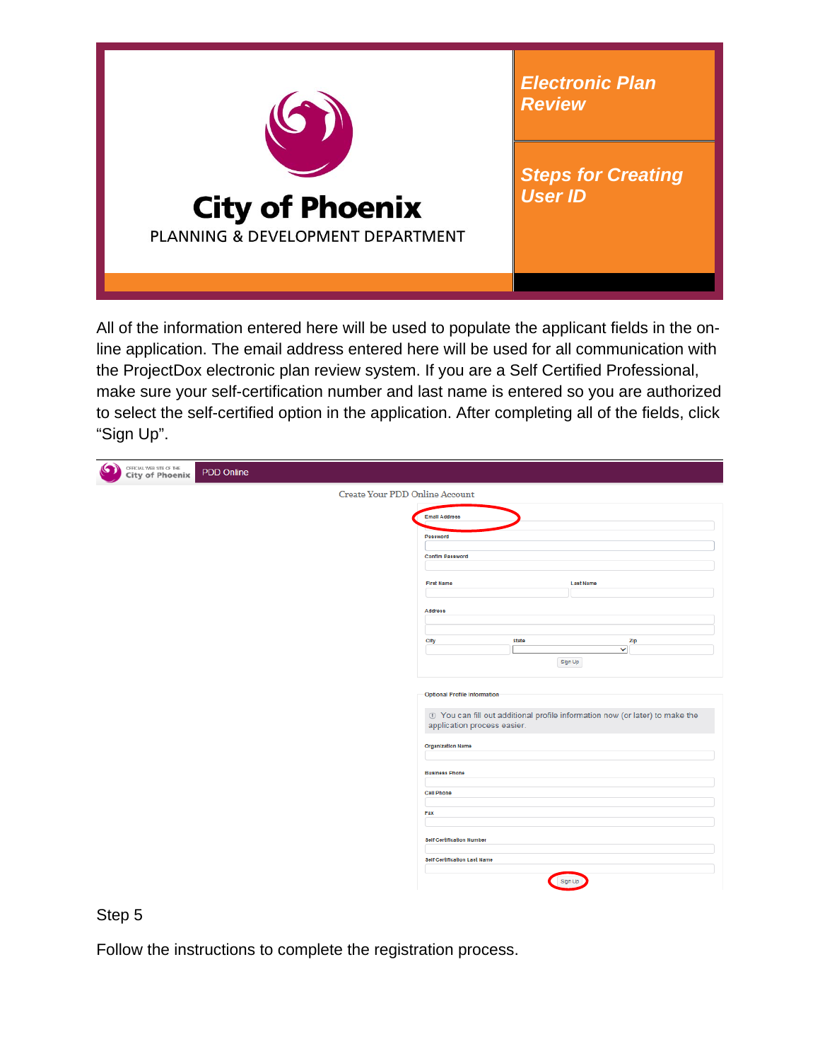

All of the information entered here will be used to populate the applicant fields in the online application. The email address entered here will be used for all communication with the ProjectDox electronic plan review system. If you are a Self Certified Professional, make sure your self-certification number and last name is entered so you are authorized to select the self-certified option in the application. After completing all of the fields, click "Sign Up".

| <b>OFFICIAL WEB SITE OF THE</b><br>City of Phoenix<br>G<br>PDD Online |                                                                                                             |                                 |
|-----------------------------------------------------------------------|-------------------------------------------------------------------------------------------------------------|---------------------------------|
| Create Your PDD Online Account                                        |                                                                                                             |                                 |
|                                                                       | <b>Email Address</b>                                                                                        |                                 |
|                                                                       | Password                                                                                                    |                                 |
|                                                                       | <b>Confim Password</b>                                                                                      |                                 |
|                                                                       |                                                                                                             |                                 |
|                                                                       | <b>First Name</b>                                                                                           | Last Name                       |
|                                                                       | <b>Address</b>                                                                                              |                                 |
|                                                                       |                                                                                                             |                                 |
|                                                                       | <b>State</b><br>City                                                                                        | Zip<br>$\overline{\phantom{0}}$ |
|                                                                       |                                                                                                             | Sign Up                         |
|                                                                       | <b>Optional Profile Information</b>                                                                         |                                 |
|                                                                       |                                                                                                             |                                 |
|                                                                       | 1 You can fill out additional profile information now (or later) to make the<br>application process easier. |                                 |
|                                                                       | <b>Organization Name</b>                                                                                    |                                 |
|                                                                       |                                                                                                             |                                 |
|                                                                       | <b>Business Phone</b>                                                                                       |                                 |
|                                                                       | Cell Phone                                                                                                  |                                 |
|                                                                       | Fax                                                                                                         |                                 |
|                                                                       | <b>Self Certification Number</b>                                                                            |                                 |
|                                                                       | <b>Self Certification Last Name</b>                                                                         |                                 |
|                                                                       |                                                                                                             | Sign Up                         |

Step 5

Follow the instructions to complete the registration process.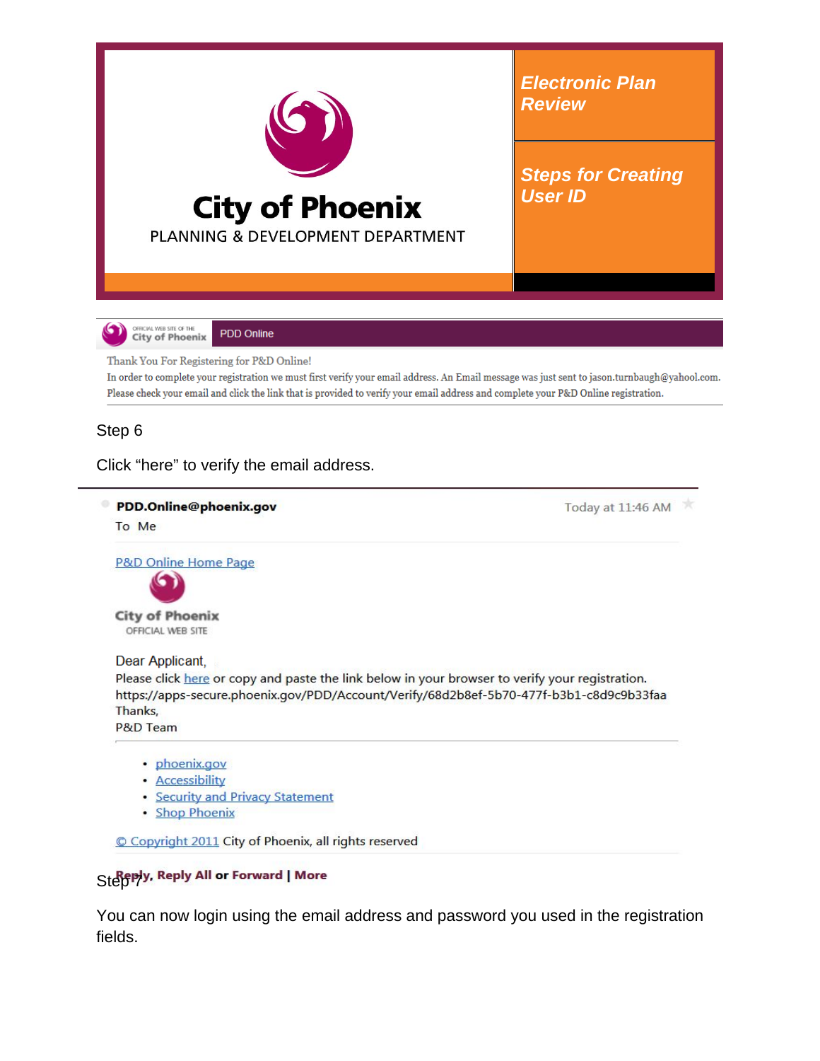

· Shop Phoenix

Copyright 2011 City of Phoenix, all rights reserved

# Step y, Reply All or Forward | More

You can now login using the email address and password you used in the registration fields.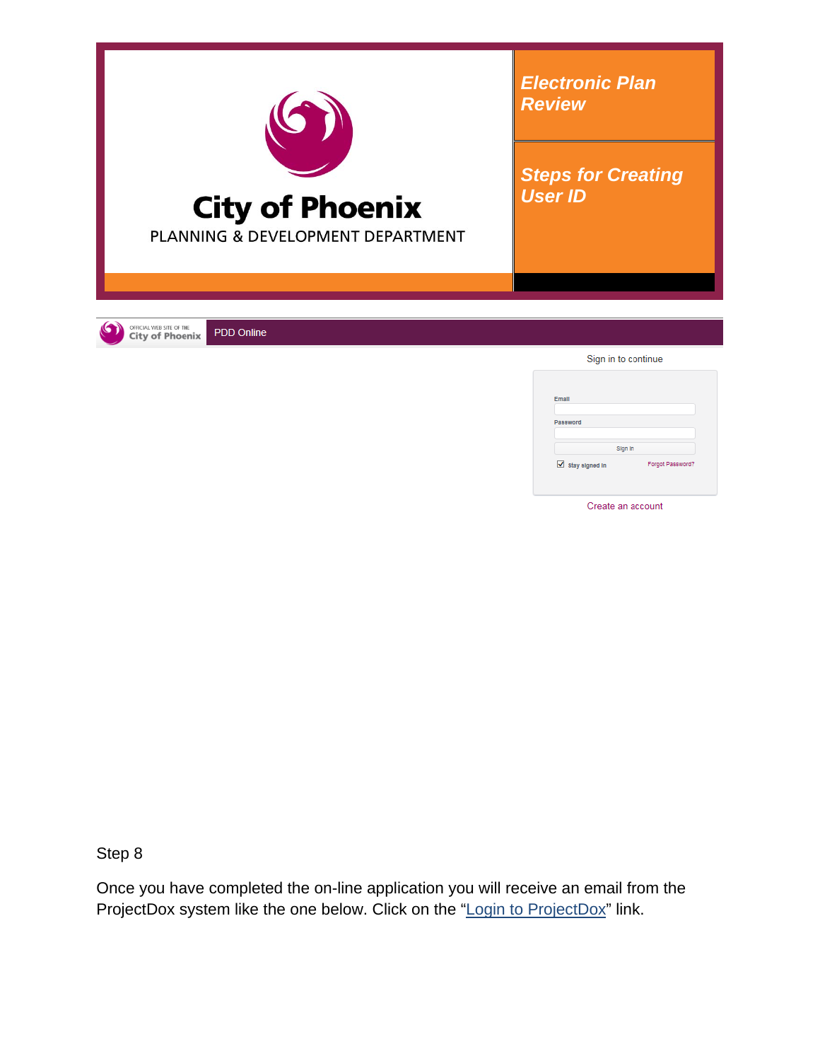

Create an account

Step 8

Once you have completed the on-line application you will receive an email from the ProjectDox system like the one below. Click on the "Login to ProjectDox" link.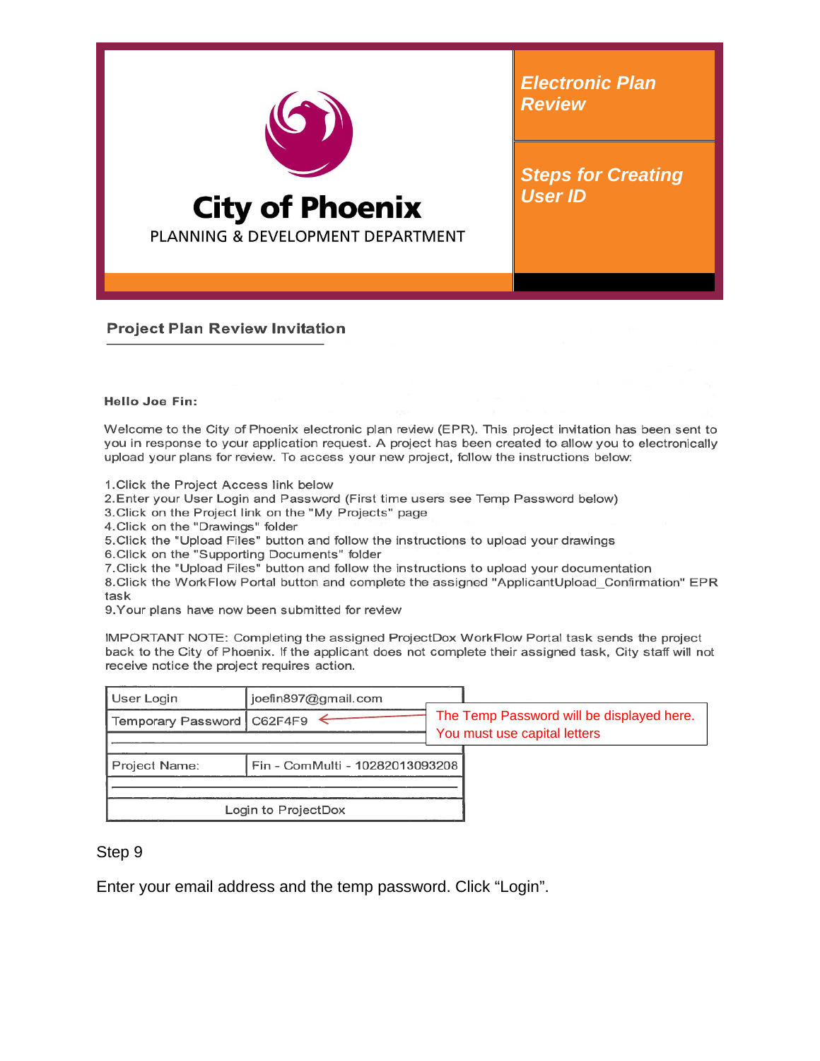

*Electronic Plan Review*

*Steps for Creating User ID*

**Project Plan Review Invitation** 

#### Hello Joe Fin:

Welcome to the City of Phoenix electronic plan review (EPR). This project invitation has been sent to you in response to your application request. A project has been created to allow you to electronically upload your plans for review. To access your new project, follow the instructions below:

1. Click the Project Access link below

2. Enter your User Login and Password (First time users see Temp Password below)

3. Click on the Project link on the "My Projects" page

4. Click on the "Drawings" folder

5. Click the "Upload Files" button and follow the instructions to upload your drawings

6.Click on the "Supporting Documents" folder

7. Click the "Upload Files" button and follow the instructions to upload your documentation

8. Click the WorkFlow Portal button and complete the assigned "ApplicantUpload\_Confirmation" EPR task

9. Your plans have now been submitted for review

IMPORTANT NOTE: Completing the assigned ProjectDox WorkFlow Portal task sends the project back to the City of Phoenix. If the applicant does not complete their assigned task, City staff will not receive notice the project requires action.

| User Login                   | joefin897@gmail.com             |                                                                           |
|------------------------------|---------------------------------|---------------------------------------------------------------------------|
| Temporary Password   C62F4F9 |                                 | The Temp Password will be displayed here.<br>You must use capital letters |
|                              |                                 |                                                                           |
| Project Name:                | Fin - ComMulti - 10282013093208 |                                                                           |
|                              |                                 |                                                                           |
|                              | Login to ProjectDox             |                                                                           |

## Step 9

Enter your email address and the temp password. Click "Login".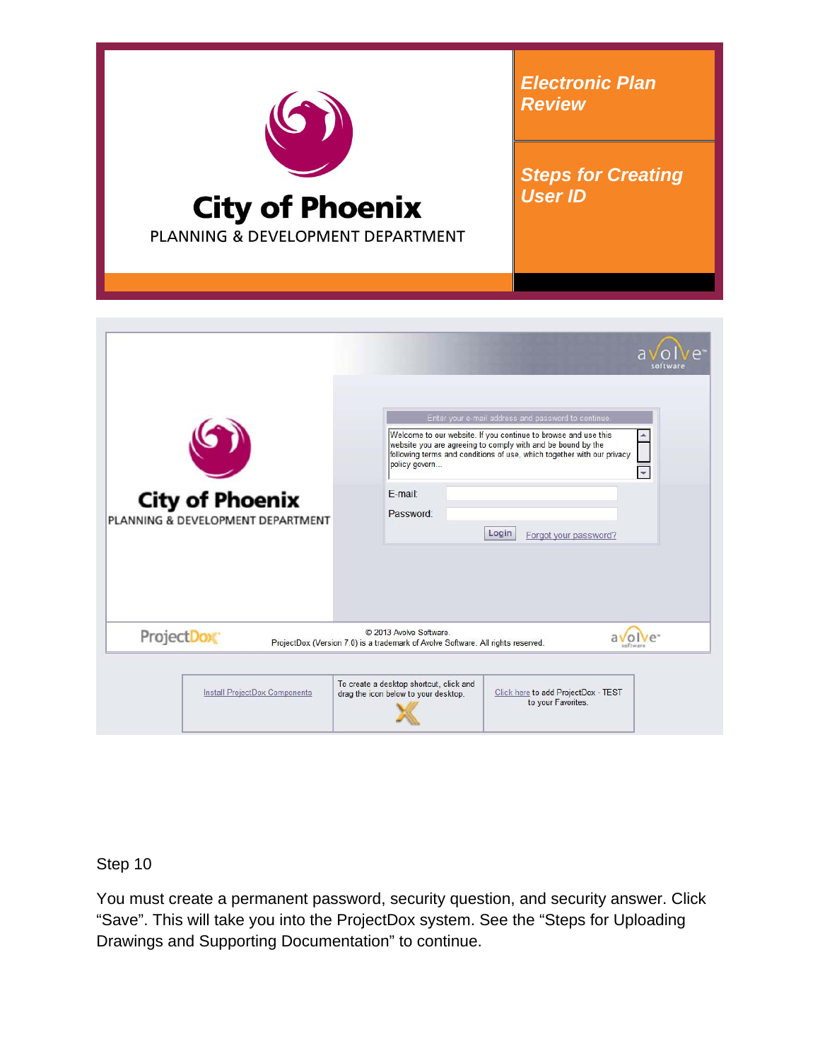

|            | <b>City of Phoenix</b><br>PLANNING & DEVELOPMENT DEPARTMENT | policy govern<br>F-mail:<br>Password:                                                                       | Welcome to our website. If you continue to browse and use this<br>website you are agreeing to comply with and be bound by the<br>following terms and conditions of use, which together with our privacy<br>$\blacktriangledown$<br>Login<br>Forgot your password? |  |
|------------|-------------------------------------------------------------|-------------------------------------------------------------------------------------------------------------|-------------------------------------------------------------------------------------------------------------------------------------------------------------------------------------------------------------------------------------------------------------------|--|
| ProjectDox |                                                             | © 2013 Avolve Software.<br>ProjectDox (Version 7.0) is a trademark of Avolve Software. All rights reserved. | $V\rho$                                                                                                                                                                                                                                                           |  |

## Step 10

You must create a permanent password, security question, and security answer. Click "Save". This will take you into the ProjectDox system. See the "Steps for Uploading Drawings and Supporting Documentation" to continue.